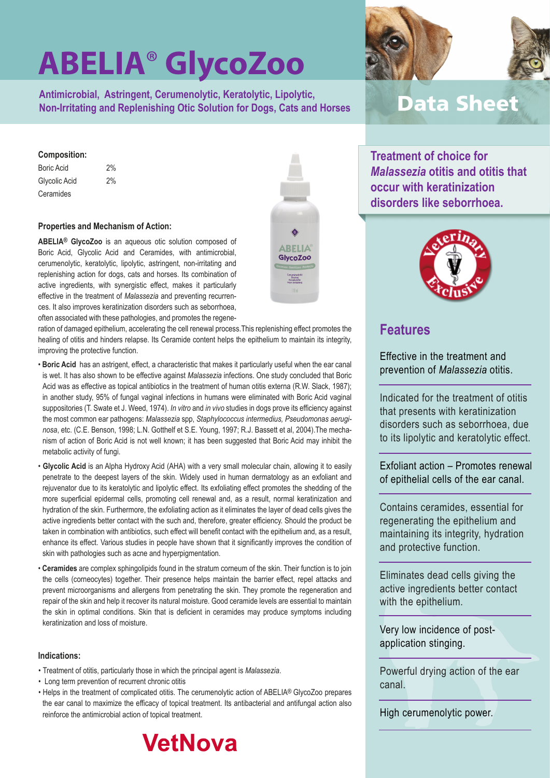**Antimicrobial, Astringent, Cerumenolytic, Keratolytic, Lipolytic, Non-Irritating and Replenishing Otic Solution for Dogs, Cats and Horses**

#### **Composition:**

Boric Acid 2% Glycolic Acid 2% **Ceramides** 

#### **Properties and Mechanism of Action:**

**ABELIA® GlycoZoo** is an aqueous otic solution composed of Boric Acid, Glycolic Acid and Ceramides, with antimicrobial, cerumenolytic, keratolytic, lipolytic, astringent, non-irritating and replenishing action for dogs, cats and horses. Its combination of active ingredients, with synergistic effect, makes it particularly effective in the treatment of *Malassezia* and preventing recurrences. It also improves keratinization disorders such as seborrhoea, often associated with these pathologies, and promotes the regene-

ration of damaged epithelium, accelerating the cell renewal process.This replenishing effect promotes the healing of otitis and hinders relapse. Its Ceramide content helps the epithelium to maintain its integrity, improving the protective function.

- **Boric Acid** has an astrigent, effect, a characteristic that makes it particularly useful when the ear canal is wet. It has also shown to be effective against *Malassezia* infections. One study concluded that Boric Acid was as effective as topical antibiotics in the treatment of human otitis externa (R.W. Slack, 1987); in another study, 95% of fungal vaginal infections in humans were eliminated with Boric Acid vaginal suppositories (T. Swate et J. Weed, 1974). *In vitro* and *in vivo* studies in dogs prove its efficiency against the most common ear pathogens: *Malassezia* spp, *Staphylococcus intermedius, Pseudomonas aeruginosa*, etc. (C.E. Benson, 1998; L.N. Gotthelf et S.E. Young, 1997; R.J. Bassett et al, 2004).The mechanism of action of Boric Acid is not well known; it has been suggested that Boric Acid may inhibit the metabolic activity of fungi.
- **Glycolic Acid** is an Alpha Hydroxy Acid (AHA) with a very small molecular chain, allowing it to easily penetrate to the deepest layers of the skin. Widely used in human dermatology as an exfoliant and rejuvenator due to its keratolytic and lipolytic effect. Its exfoliating effect promotes the shedding of the more superficial epidermal cells, promoting cell renewal and, as a result, normal keratinization and hydration of the skin. Furthermore, the exfoliating action as it eliminates the layer of dead cells gives the active ingredients better contact with the such and, therefore, greater efficiency. Should the product be taken in combination with antibiotics, such effect will benefit contact with the epithelium and, as a result, enhance its effect. Various studies in people have shown that it significantly improves the condition of skin with pathologies such as acne and hyperpigmentation.
- **Ceramides** are complex sphingolipids found in the stratum corneum of the skin. Their function is to join the cells (corneocytes) together. Their presence helps maintain the barrier effect, repel attacks and prevent microorganisms and allergens from penetrating the skin. They promote the regeneration and repair of the skin and help it recover its natural moisture. Good ceramide levels are essential to maintain the skin in optimal conditions. Skin that is deficient in ceramides may produce symptoms including keratinization and loss of moisture.

#### **Indications:**

- Treatment of otitis, particularly those in which the principal agent is *Malassezia*.
- Long term prevention of recurrent chronic otitis
- Helps in the treatment of complicated otitis. The cerumenolytic action of ABELIA® GlycoZoo prepares the ear canal to maximize the efficacy of topical treatment. Its antibacterial and antifungal action also reinforce the antimicrobial action of topical treatment.







### **Data Sheet**

**Treatment of choice for**  *Malassezia* **otitis and otitis that occur with keratinization disorders like seborrhoea.**



### **Features**

Effective in the treatment and prevention of *Malassezia* otitis.

Indicated for the treatment of otitis that presents with keratinization disorders such as seborrhoea, due to its lipolytic and keratolytic effect.

Exfoliant action – Promotes renewal of epithelial cells of the ear canal.

Contains ceramides, essential for regenerating the epithelium and maintaining its integrity, hydration and protective function.

Eliminates dead cells giving the active ingredients better contact with the epithelium.

Very low incidence of postapplication stinging.

Powerful drying action of the ear canal.

High cerumenolytic power.

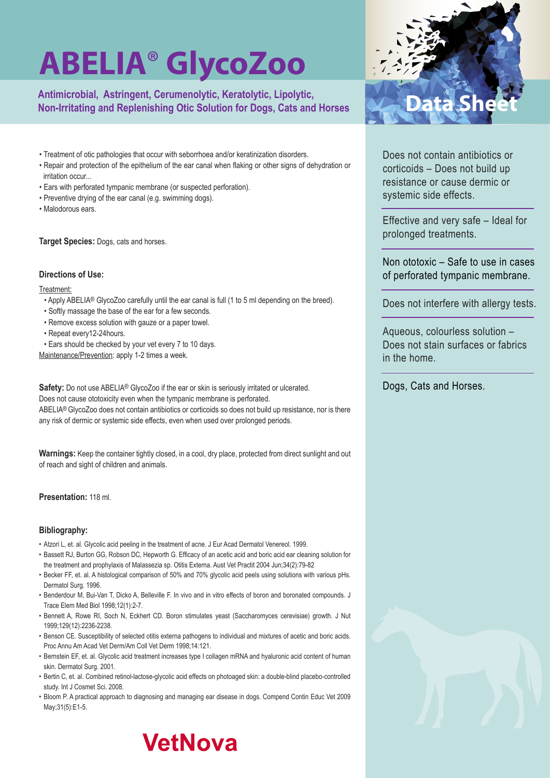Antimicrobial, Astringent, Cerumenolytic, Keratolytic, Lipolytic, **Manual Anticket Sheet**<br>Non-Irritating and Replenishing Otic Solution for Dogs, Cats and Horses<br> **Non-Irritating and Replenishing Otic Solution for Dogs, Ca** 

- Treatment of otic pathologies that occur with seborrhoea and/or keratinization disorders.
- Repair and protection of the epithelium of the ear canal when flaking or other signs of dehydration or irritation occur...
- Ears with perforated tympanic membrane (or suspected perforation).
- Preventive drying of the ear canal (e.g. swimming dogs).
- Malodorous ears.

**Target Species:** Dogs, cats and horses.

#### **Directions of Use:**

Treatment:

- Apply ABELIA® GlycoZoo carefully until the ear canal is full (1 to 5 ml depending on the breed).
- Softly massage the base of the ear for a few seconds.
- Remove excess solution with gauze or a paper towel.
- Repeat every12-24hours.
- Ears should be checked by your vet every 7 to 10 days.

Maintenance/Prevention: apply 1-2 times a week.

Safety: Do not use ABELIA<sup>®</sup> GlycoZoo if the ear or skin is seriously irritated or ulcerated. Does not cause ototoxicity even when the tympanic membrane is perforated. ABELIA® GlycoZoo does not contain antibiotics or corticoids so does not build up resistance, nor is there any risk of dermic or systemic side effects, even when used over prolonged periods.

**Warnings:** Keep the container tightly closed, in a cool, dry place, protected from direct sunlight and out of reach and sight of children and animals.

#### **Presentation:** 118 ml.

#### **Bibliography:**

- Atzori L, et. al. Glycolic acid peeling in the treatment of acne. J Eur Acad Dermatol Venereol. 1999.
- Bassett RJ, Burton GG, Robson DC, Hepworth G. Efficacy of an acetic acid and boric acid ear cleaning solution for the treatment and prophylaxis of Malassezia sp. Otitis Externa. Aust Vet Practit 2004 Jun;34(2):79-82
- Becker FF, et. al. A histological comparison of 50% and 70% glycolic acid peels using solutions with various pHs. Dermatol Surg. 1996.
- Benderdour M, Bui-Van T, Dicko A, Belleville F. In vivo and in vitro effects of boron and boronated compounds. J Trace Elem Med Biol 1998;12(1):2-7.
- Bennett A, Rowe RI, Soch N, Eckhert CD. Boron stimulates yeast (Saccharomyces cerevisiae) growth. J Nut 1999;129(12):2236-2238.
- Benson CE. Susceptibility of selected otitis externa pathogens to individual and mixtures of acetic and boric acids. Proc Annu Am Acad Vet Derm/Am Coll Vet Derm 1998;14:121.
- Bernstein EF, et. al. Glycolic acid treatment increases type I collagen mRNA and hyaluronic acid content of human skin. Dermatol Surg. 2001.
- Bertin C, et. al. Combined retinol-lactose-glycolic acid effects on photoaged skin: a double-blind placebo-controlled study. Int J Cosmet Sci. 2008.
- Bloom P. A practical approach to diagnosing and managing ear disease in dogs. Compend Contin Educ Vet 2009 May;31(5):E1-5.



Does not contain antibiotics or corticoids – Does not build up resistance or cause dermic or systemic side effects.

Effective and very safe – Ideal for prolonged treatments.

Non ototoxic – Safe to use in cases of perforated tympanic membrane.

Does not interfere with allergy tests.

Aqueous, colourless solution – Does not stain surfaces or fabrics in the home.

Dogs, Cats and Horses.

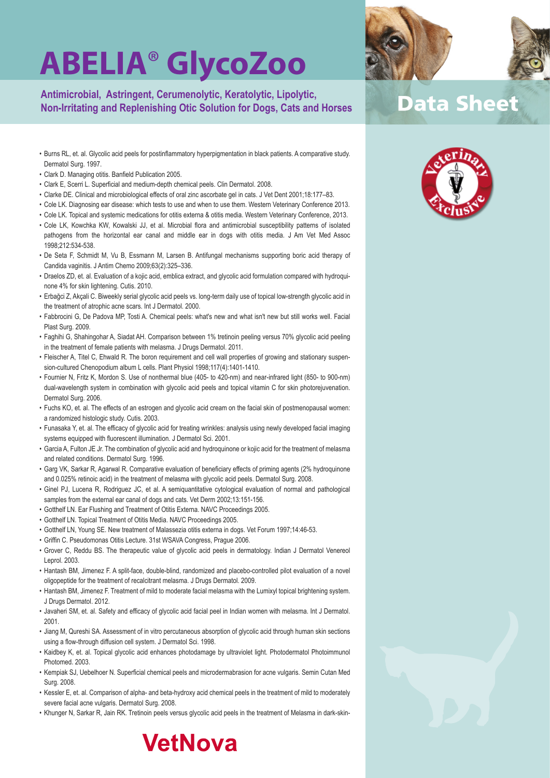**Antimicrobial, Astringent, Cerumenolytic, Keratolytic, Lipolytic, Non-Irritating and Replenishing Otic Solution for Dogs, Cats and Horses**

- Burns RL, et. al. Glycolic acid peels for postinflammatory hyperpigmentation in black patients. A comparative study. Dermatol Surg. 1997.
- Clark D. Managing otitis. Banfield Publication 2005.
- Clark E, Scerri L. Superficial and medium-depth chemical peels. Clin Dermatol. 2008.
- Clarke DE. Clinical and microbiological effects of oral zinc ascorbate gel in cats. J Vet Dent 2001;18:177–83.
- Cole LK. Diagnosing ear disease: which tests to use and when to use them. Western Veterinary Conference 2013.
- Cole LK. Topical and systemic medications for otitis externa & otitis media. Western Veterinary Conference, 2013.
- Cole LK, Kowchka KW, Kowalski JJ, et al. Microbial flora and antimicrobial susceptibility patterns of isolated pathogens from the horizontal ear canal and middle ear in dogs with otitis media. J Am Vet Med Assoc 1998;212:534-538.
- De Seta F, Schmidt M, Vu B, Essmann M, Larsen B. Antifungal mechanisms supporting boric acid therapy of Candida vaginitis. J Antim Chemo 2009;63(2):325–336.
- Draelos ZD, et. al. Evaluation of a kojic acid, emblica extract, and glycolic acid formulation compared with hydroquinone 4% for skin lightening. Cutis. 2010.
- Erbağci Z, Akçali C. Biweekly serial glycolic acid peels vs. long-term daily use of topical low-strength glycolic acid in the treatment of atrophic acne scars. Int J Dermatol. 2000.
- Fabbrocini G, De Padova MP, Tosti A. Chemical peels: what's new and what isn't new but still works well. Facial Plast Surg. 2009.
- Faghihi G, Shahingohar A, Siadat AH. Comparison between 1% tretinoin peeling versus 70% glycolic acid peeling in the treatment of female patients with melasma. J Drugs Dermatol. 2011.
- Fleischer A, Titel C, Ehwald R. The boron requirement and cell wall properties of growing and stationary suspension-cultured Chenopodium album L cells. Plant Physiol 1998;117(4):1401-1410.
- Fournier N, Fritz K, Mordon S. Use of nonthermal blue (405- to 420-nm) and near-infrared light (850- to 900-nm) dual-wavelength system in combination with glycolic acid peels and topical vitamin C for skin photorejuvenation. Dermatol Surg. 2006.
- Fuchs KO, et. al. The effects of an estrogen and glycolic acid cream on the facial skin of postmenopausal women: a randomized histologic study. Cutis. 2003.
- Funasaka Y, et. al. The efficacy of glycolic acid for treating wrinkles: analysis using newly developed facial imaging systems equipped with fluorescent illumination. J Dermatol Sci. 2001.
- Garcia A, Fulton JE Jr. The combination of glycolic acid and hydroquinone or kojic acid for the treatment of melasma and related conditions. Dermatol Surg. 1996.
- Garg VK, Sarkar R, Agarwal R. Comparative evaluation of beneficiary effects of priming agents (2% hydroquinone and 0.025% retinoic acid) in the treatment of melasma with glycolic acid peels. Dermatol Surg. 2008.
- Ginel PJ, Lucena R, Rodriguez JC, et al. A semiquantitative cytological evaluation of normal and pathological samples from the external ear canal of dogs and cats. Vet Derm 2002;13:151-156.
- Gotthelf LN. Ear Flushing and Treatment of Otitis Externa. NAVC Proceedings 2005.
- Gotthelf LN. Topical Treatment of Otitis Media. NAVC Proceedings 2005.
- Gotthelf LN, Young SE. New treatment of Malassezia otitis externa in dogs. Vet Forum 1997;14:46-53.
- Griffin C. Pseudomonas Otitis Lecture. 31st WSAVA Congress, Prague 2006.
- Grover C, Reddu BS. The therapeutic value of glycolic acid peels in dermatology. Indian J Dermatol Venereol Leprol. 2003.
- Hantash BM, Jimenez F. A split-face, double-blind, randomized and placebo-controlled pilot evaluation of a novel oligopeptide for the treatment of recalcitrant melasma. J Drugs Dermatol. 2009.
- Hantash BM, Jimenez F. Treatment of mild to moderate facial melasma with the Lumixyl topical brightening system. J Drugs Dermatol. 2012.
- Javaheri SM, et. al. Safety and efficacy of glycolic acid facial peel in Indian women with melasma. Int J Dermatol. 2001.
- Jiang M, Qureshi SA. Assessment of in vitro percutaneous absorption of glycolic acid through human skin sections using a flow-through diffusion cell system. J Dermatol Sci. 1998.
- Kaidbey K, et. al. Topical glycolic acid enhances photodamage by ultraviolet light. Photodermatol Photoimmunol Photomed. 2003.
- Kempiak SJ, Uebelhoer N. Superficial chemical peels and microdermabrasion for acne vulgaris. Semin Cutan Med Surg. 2008.
- Kessler E, et. al. Comparison of alpha- and beta-hydroxy acid chemical peels in the treatment of mild to moderately severe facial acne vulgaris. Dermatol Surg. 2008.
- Khunger N, Sarkar R, Jain RK. Tretinoin peels versus glycolic acid peels in the treatment of Melasma in dark-skin-



### **Data Sheet**



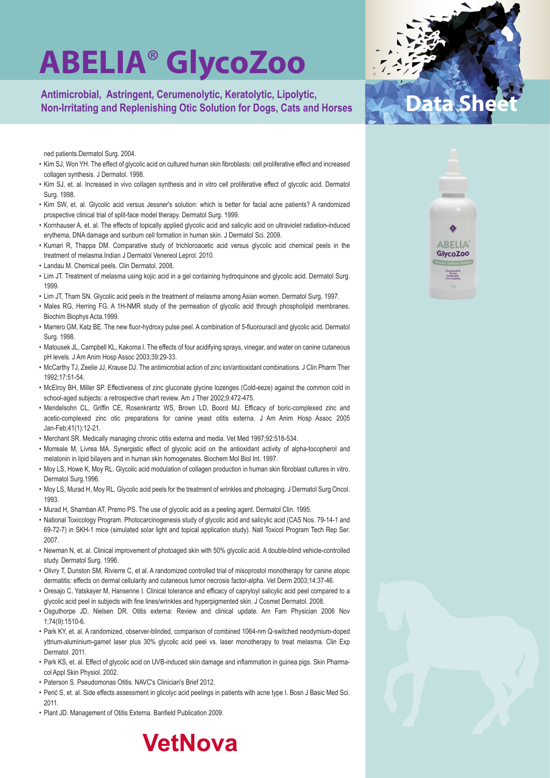Antimicrobial, Astringent, Cerumenolytic, Keratolytic, Lipolytic, **Manual Anticket Sheet**<br>Non-Irritating and Replenishing Otic Solution for Dogs, Cats and Horses<br> **Non-Irritating and Replenishing Otic Solution for Dogs, Ca** 

ned patients.Dermatol Surg. 2004.

- Kim SJ, Won YH. The effect of glycolic acid on cultured human skin fibroblasts: cell proliferative effect and increased collagen synthesis. J Dermatol. 1998.
- Kim SJ, et. al. Increased in vivo collagen synthesis and in vitro cell proliferative effect of glycolic acid. Dermatol Surg. 1998.
- Kim SW, et. al. Glycolic acid versus Jessner's solution: which is better for facial acne patients? A randomized prospective clinical trial of split-face model therapy. Dermatol Surg. 1999.
- Kornhauser A, et. al. The effects of topically applied glycolic acid and salicylic acid on ultraviolet radiation-induced erythema, DNA damage and sunburn cell formation in human skin. J Dermatol Sci. 2009.
- Kumari R, Thappa DM. Comparative study of trichloroacetic acid versus glycolic acid chemical peels in the treatment of melasma.Indian J Dermatol Venereol Leprol. 2010.
- Landau M. Chemical peels. Clin Dermatol. 2008.
- Lim JT. Treatment of melasma using kojic acid in a gel containing hydroquinone and glycolic acid. Dermatol Surg. 1999.
- Lim JT, Tham SN. Glycolic acid peels in the treatment of melasma among Asian women. Dermatol Surg. 1997.
- Males RG, Herring FG. A 1H-NMR study of the permeation of glycolic acid through phospholipid membranes. Biochim Biophys Acta.1999.
- Marrero GM, Katz BE. The new fluor-hydroxy pulse peel. A combination of 5-fluorouracil and glycolic acid. Dermatol Surg. 1998.
- Matousek JL, Campbell KL, Kakoma I. The effects of four acidifying sprays, vinegar, and water on canine cutaneous pH levels. J Am Anim Hosp Assoc 2003;39:29-33.
- McCarthy TJ, Zeelie JJ, Krause DJ. The antimicrobial action of zinc ion/antioxidant combinations. J Clin Pharm Ther 1992;17:51-54.
- McElroy BH, Miller SP. Effectiveness of zinc gluconate glycine lozenges (Cold-eeze) against the common cold in school-aged subjects: a retrospective chart review. Am J Ther 2002;9:472-475.
- Mendelsohn CL, Griffin CE, Rosenkrantz WS, Brown LD, Boord MJ. Efficacy of boric-complexed zinc and acetic-complexed zinc otic preparations for canine yeast otitis externa. J Am Anim Hosp Assoc 2005 Jan-Feb;41(1):12-21.
- Merchant SR. Medically managing chronic otitis externa and media. Vet Med 1997;92:518-534.
- Morreale M, Livrea MA. Synergistic effect of glycolic acid on the antioxidant activity of alpha-tocopherol and melatonin in lipid bilayers and in human skin homogenates. Biochem Mol Biol Int. 1997.
- Moy LS, Howe K, Moy RL. Glycolic acid modulation of collagen production in human skin fibroblast cultures in vitro. Dermatol Surg.1996.
- Moy LS, Murad H, Moy RL. Glycolic acid peels for the treatment of wrinkles and photoaging. J Dermatol Surg Oncol. 1993.
- Murad H, Shamban AT, Premo PS. The use of glycolic acid as a peeling agent. Dermatol Clin. 1995.
- National Toxicology Program. Photocarcinogenesis study of glycolic acid and salicylic acid (CAS Nos. 79-14-1 and 69-72-7) in SKH-1 mice (simulated solar light and topical application study). Natl Toxicol Program Tech Rep Ser. 2007.
- Newman N, et. al. Clinical improvement of photoaged skin with 50% glycolic acid. A double-blind vehicle-controlled study. Dermatol Surg. 1996.
- Olivry T, Dunston SM, Rivierre C, et al. A randomized controlled trial of misoprostol monotherapy for canine atopic dermatitis: effects on dermal cellularity and cutaneous tumor necrosis factor-alpha. Vet Derm 2003;14:37-46.
- Oresajo C, Yatskayer M, Hansenne I. Clinical tolerance and efficacy of capryloyl salicylic acid peel compared to a glycolic acid peel in subjects with fine lines/wrinkles and hyperpigmented skin. J Cosmet Dermatol. 2008.
- Osguthorpe JD, Nielsen DR. Otitis externa: Review and clinical update. Am Fam Physician 2006 Nov 1;74(9):1510-6.
- Park KY, et. al. A randomized, observer-blinded, comparison of combined 1064-nm Q-switched neodymium-doped yttrium-aluminium-garnet laser plus 30% glycolic acid peel vs. laser monotherapy to treat melasma. Clin Exp Dermatol. 2011.
- Park KS, et. al. Effect of glycolic acid on UVB-induced skin damage and inflammation in guinea pigs. Skin Pharmacol Appl Skin Physiol. 2002.
- Paterson S. Pseudomonas Otitis. NAVC's Clinician's Brief 2012.
- Perić S, et. al. Side effects assessment in glicolyc acid peelings in patients with acne type I. Bosn J Basic Med Sci. 2011.

**VetNova** 

• Plant JD. Management of Otitis Externa. Banfield Publication 2009.